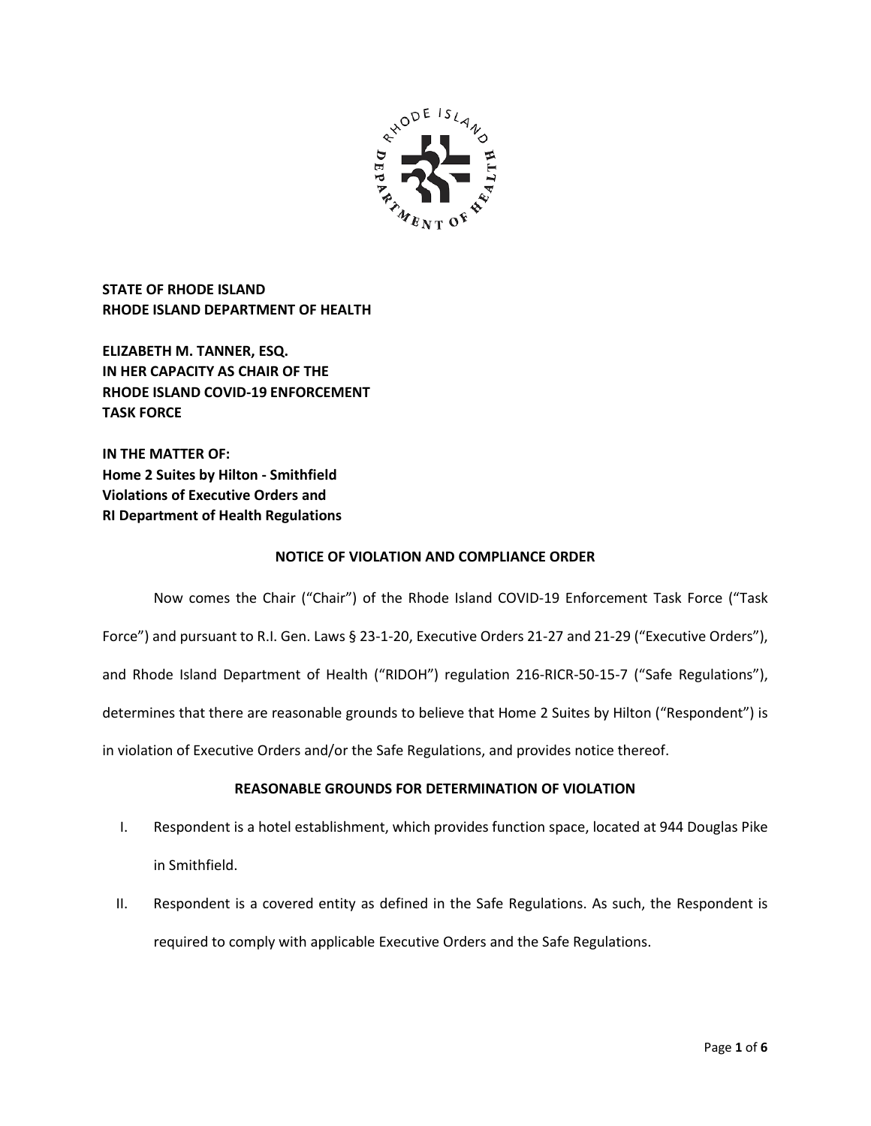

**STATE OF RHODE ISLAND RHODE ISLAND DEPARTMENT OF HEALTH**

**ELIZABETH M. TANNER, ESQ. IN HER CAPACITY AS CHAIR OF THE RHODE ISLAND COVID-19 ENFORCEMENT TASK FORCE** 

**IN THE MATTER OF: Home 2 Suites by Hilton - Smithfield Violations of Executive Orders and RI Department of Health Regulations**

# **NOTICE OF VIOLATION AND COMPLIANCE ORDER**

Now comes the Chair ("Chair") of the Rhode Island COVID-19 Enforcement Task Force ("Task Force") and pursuant to R.I. Gen. Laws § 23-1-20, Executive Orders 21-27 and 21-29 ("Executive Orders"), and Rhode Island Department of Health ("RIDOH") regulation 216-RICR-50-15-7 ("Safe Regulations"), determines that there are reasonable grounds to believe that Home 2 Suites by Hilton ("Respondent") is in violation of Executive Orders and/or the Safe Regulations, and provides notice thereof.

# **REASONABLE GROUNDS FOR DETERMINATION OF VIOLATION**

- I. Respondent is a hotel establishment, which provides function space, located at 944 Douglas Pike in Smithfield.
- II. Respondent is a covered entity as defined in the Safe Regulations. As such, the Respondent is required to comply with applicable Executive Orders and the Safe Regulations.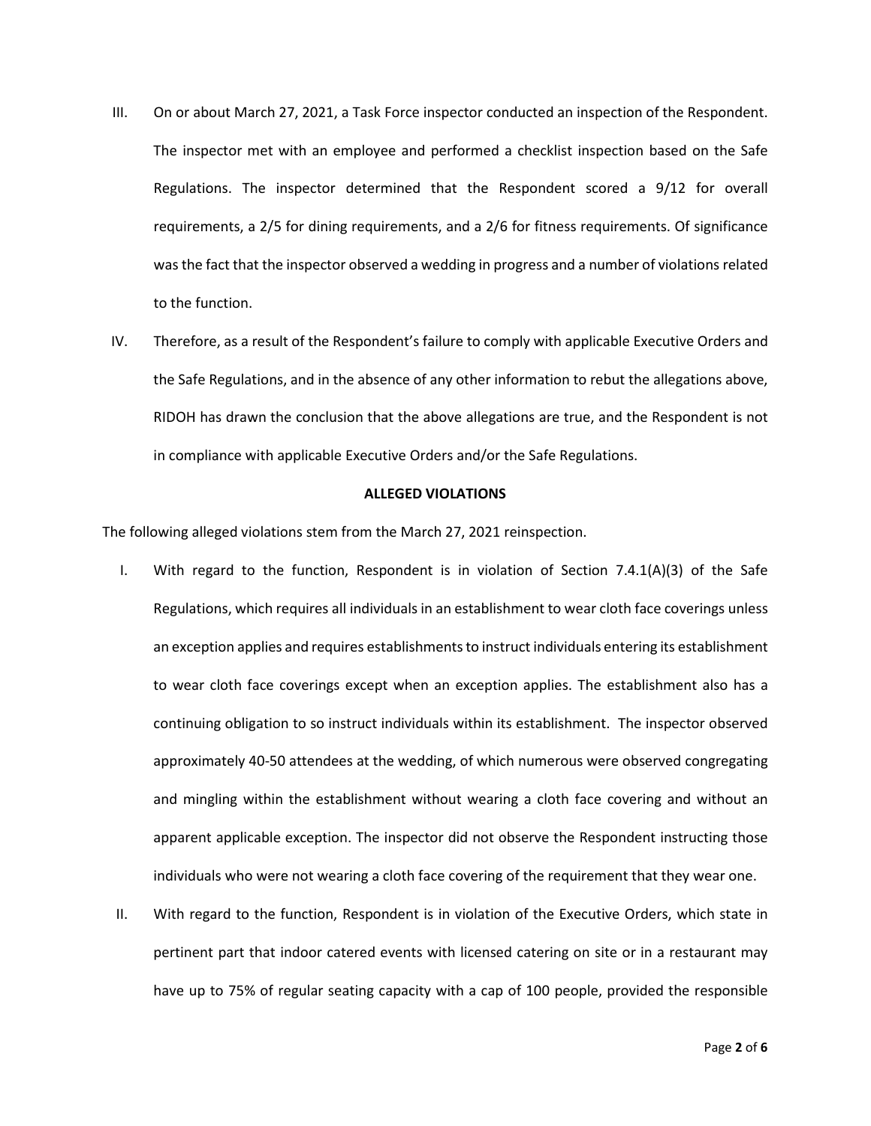- III. On or about March 27, 2021, a Task Force inspector conducted an inspection of the Respondent. The inspector met with an employee and performed a checklist inspection based on the Safe Regulations. The inspector determined that the Respondent scored a 9/12 for overall requirements, a 2/5 for dining requirements, and a 2/6 for fitness requirements. Of significance was the fact that the inspector observed a wedding in progress and a number of violations related to the function.
- IV. Therefore, as a result of the Respondent's failure to comply with applicable Executive Orders and the Safe Regulations, and in the absence of any other information to rebut the allegations above, RIDOH has drawn the conclusion that the above allegations are true, and the Respondent is not in compliance with applicable Executive Orders and/or the Safe Regulations.

## **ALLEGED VIOLATIONS**

The following alleged violations stem from the March 27, 2021 reinspection.

- I. With regard to the function, Respondent is in violation of Section 7.4.1(A)(3) of the Safe Regulations, which requires all individuals in an establishment to wear cloth face coverings unless an exception applies and requires establishments to instruct individuals entering its establishment to wear cloth face coverings except when an exception applies. The establishment also has a continuing obligation to so instruct individuals within its establishment. The inspector observed approximately 40-50 attendees at the wedding, of which numerous were observed congregating and mingling within the establishment without wearing a cloth face covering and without an apparent applicable exception. The inspector did not observe the Respondent instructing those individuals who were not wearing a cloth face covering of the requirement that they wear one.
- II. With regard to the function, Respondent is in violation of the Executive Orders, which state in pertinent part that indoor catered events with licensed catering on site or in a restaurant may have up to 75% of regular seating capacity with a cap of 100 people, provided the responsible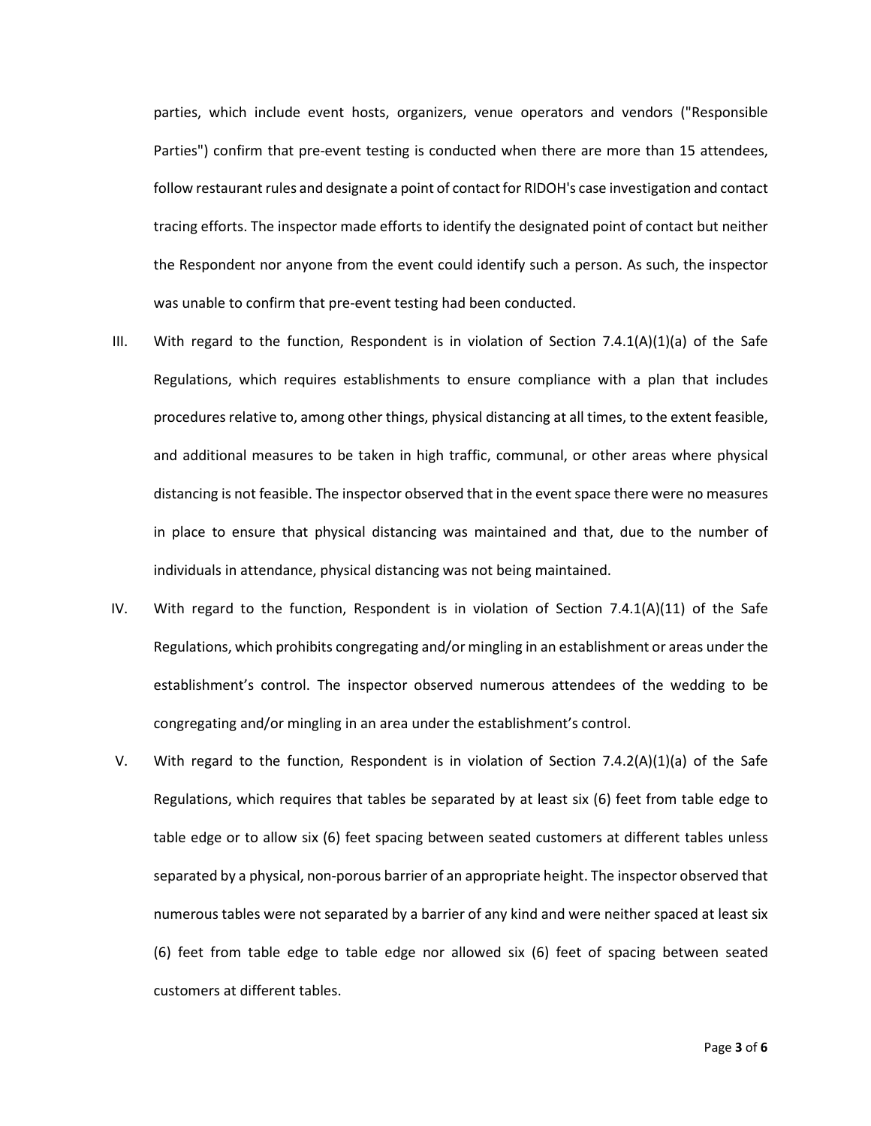parties, which include event hosts, organizers, venue operators and vendors ("Responsible Parties") confirm that pre-event testing is conducted when there are more than 15 attendees, follow restaurant rules and designate a point of contact for RIDOH's case investigation and contact tracing efforts. The inspector made efforts to identify the designated point of contact but neither the Respondent nor anyone from the event could identify such a person. As such, the inspector was unable to confirm that pre-event testing had been conducted.

- III. With regard to the function, Respondent is in violation of Section 7.4.1(A)(1)(a) of the Safe Regulations, which requires establishments to ensure compliance with a plan that includes procedures relative to, among other things, physical distancing at all times, to the extent feasible, and additional measures to be taken in high traffic, communal, or other areas where physical distancing is not feasible. The inspector observed that in the event space there were no measures in place to ensure that physical distancing was maintained and that, due to the number of individuals in attendance, physical distancing was not being maintained.
- IV. With regard to the function, Respondent is in violation of Section 7.4.1(A)(11) of the Safe Regulations, which prohibits congregating and/or mingling in an establishment or areas under the establishment's control. The inspector observed numerous attendees of the wedding to be congregating and/or mingling in an area under the establishment's control.
- V. With regard to the function, Respondent is in violation of Section 7.4.2(A)(1)(a) of the Safe Regulations, which requires that tables be separated by at least six (6) feet from table edge to table edge or to allow six (6) feet spacing between seated customers at different tables unless separated by a physical, non-porous barrier of an appropriate height. The inspector observed that numerous tables were not separated by a barrier of any kind and were neither spaced at least six (6) feet from table edge to table edge nor allowed six (6) feet of spacing between seated customers at different tables.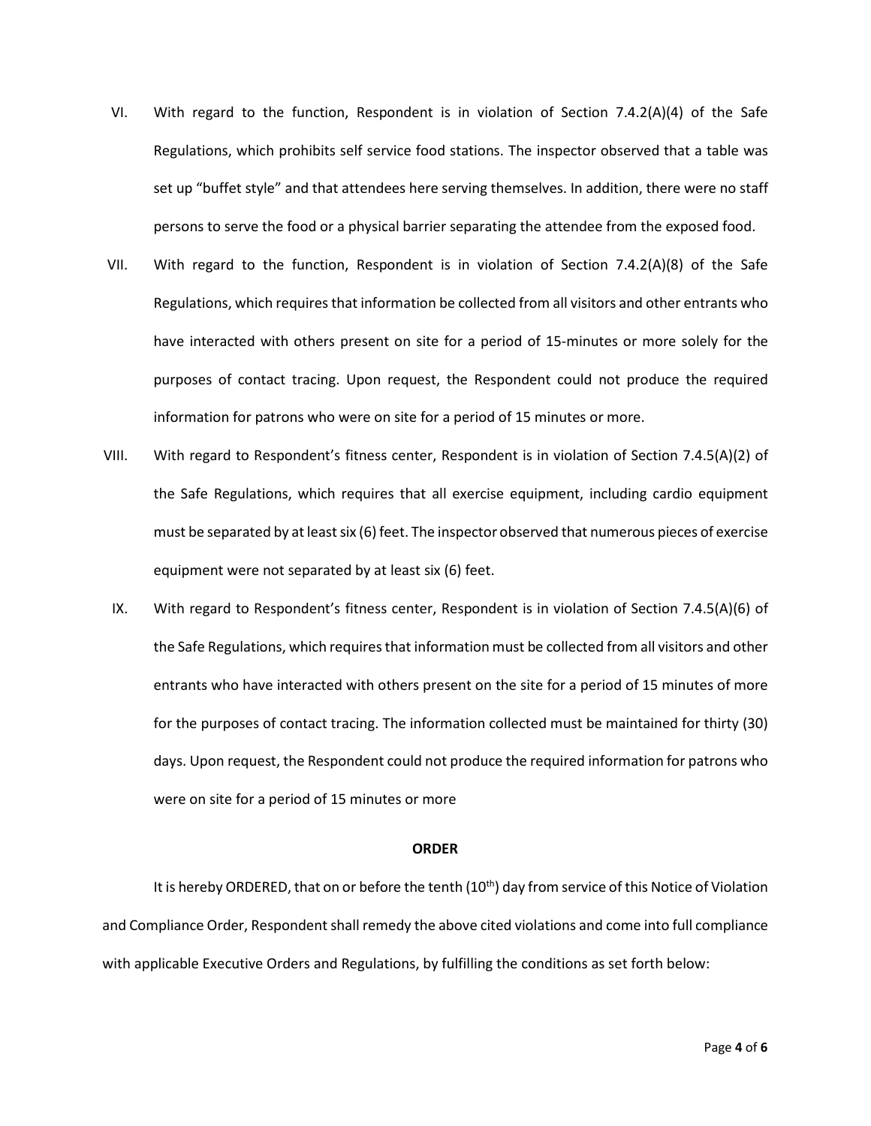- VI. With regard to the function, Respondent is in violation of Section 7.4.2(A)(4) of the Safe Regulations, which prohibits self service food stations. The inspector observed that a table was set up "buffet style" and that attendees here serving themselves. In addition, there were no staff persons to serve the food or a physical barrier separating the attendee from the exposed food.
- VII. With regard to the function, Respondent is in violation of Section 7.4.2(A)(8) of the Safe Regulations, which requires that information be collected from all visitors and other entrants who have interacted with others present on site for a period of 15-minutes or more solely for the purposes of contact tracing. Upon request, the Respondent could not produce the required information for patrons who were on site for a period of 15 minutes or more.
- VIII. With regard to Respondent's fitness center, Respondent is in violation of Section 7.4.5(A)(2) of the Safe Regulations, which requires that all exercise equipment, including cardio equipment must be separated by at least six (6) feet. The inspector observed that numerous pieces of exercise equipment were not separated by at least six (6) feet.
- IX. With regard to Respondent's fitness center, Respondent is in violation of Section 7.4.5(A)(6) of the Safe Regulations, which requires that information must be collected from all visitors and other entrants who have interacted with others present on the site for a period of 15 minutes of more for the purposes of contact tracing. The information collected must be maintained for thirty (30) days. Upon request, the Respondent could not produce the required information for patrons who were on site for a period of 15 minutes or more

### **ORDER**

It is hereby ORDERED, that on or before the tenth  $(10<sup>th</sup>)$  day from service of this Notice of Violation and Compliance Order, Respondent shall remedy the above cited violations and come into full compliance with applicable Executive Orders and Regulations, by fulfilling the conditions as set forth below: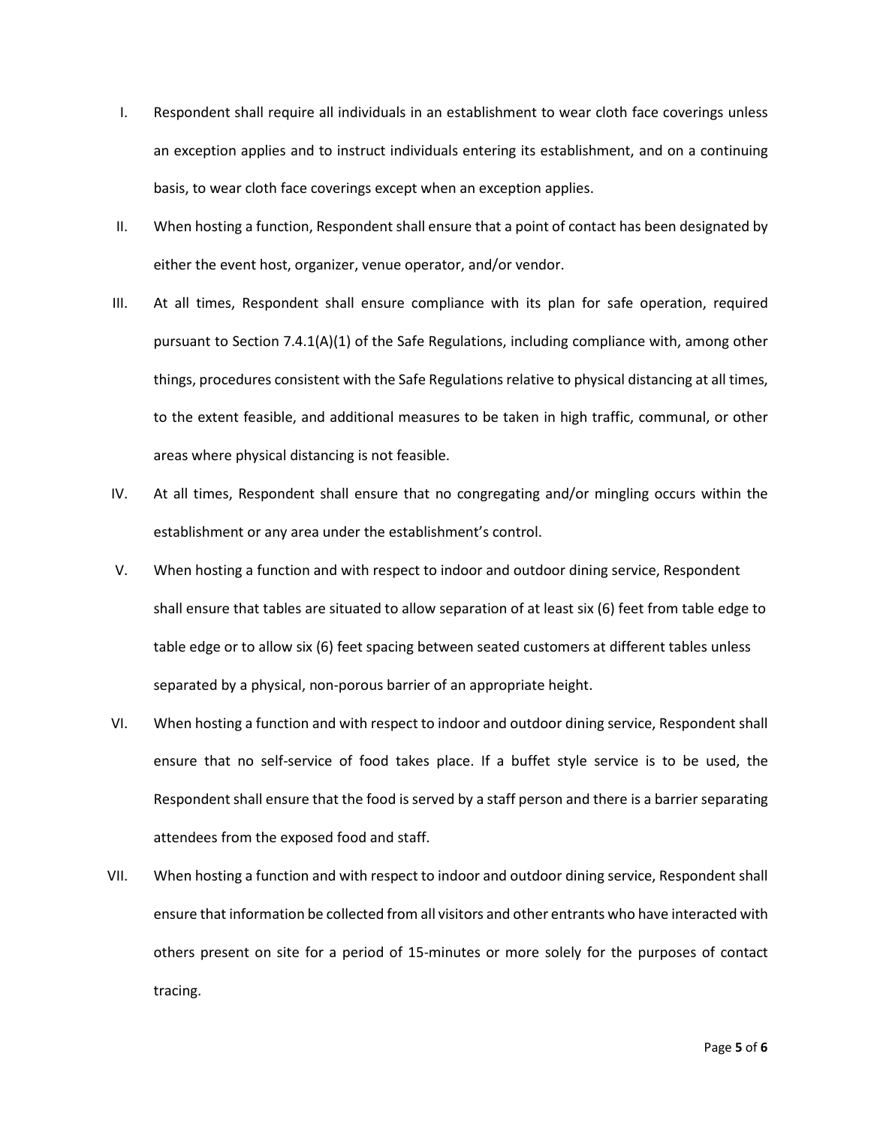- I. Respondent shall require all individuals in an establishment to wear cloth face coverings unless an exception applies and to instruct individuals entering its establishment, and on a continuing basis, to wear cloth face coverings except when an exception applies.
- II. When hosting a function, Respondent shall ensure that a point of contact has been designated by either the event host, organizer, venue operator, and/or vendor.
- III. At all times, Respondent shall ensure compliance with its plan for safe operation, required pursuant to Section 7.4.1(A)(1) of the Safe Regulations, including compliance with, among other things, procedures consistent with the Safe Regulations relative to physical distancing at all times, to the extent feasible, and additional measures to be taken in high traffic, communal, or other areas where physical distancing is not feasible.
- IV. At all times, Respondent shall ensure that no congregating and/or mingling occurs within the establishment or any area under the establishment's control.
- V. When hosting a function and with respect to indoor and outdoor dining service, Respondent shall ensure that tables are situated to allow separation of at least six (6) feet from table edge to table edge or to allow six (6) feet spacing between seated customers at different tables unless separated by a physical, non-porous barrier of an appropriate height.
- VI. When hosting a function and with respect to indoor and outdoor dining service, Respondent shall ensure that no self-service of food takes place. If a buffet style service is to be used, the Respondent shall ensure that the food is served by a staff person and there is a barrier separating attendees from the exposed food and staff.
- VII. When hosting a function and with respect to indoor and outdoor dining service, Respondent shall ensure that information be collected from all visitors and other entrants who have interacted with others present on site for a period of 15-minutes or more solely for the purposes of contact tracing.